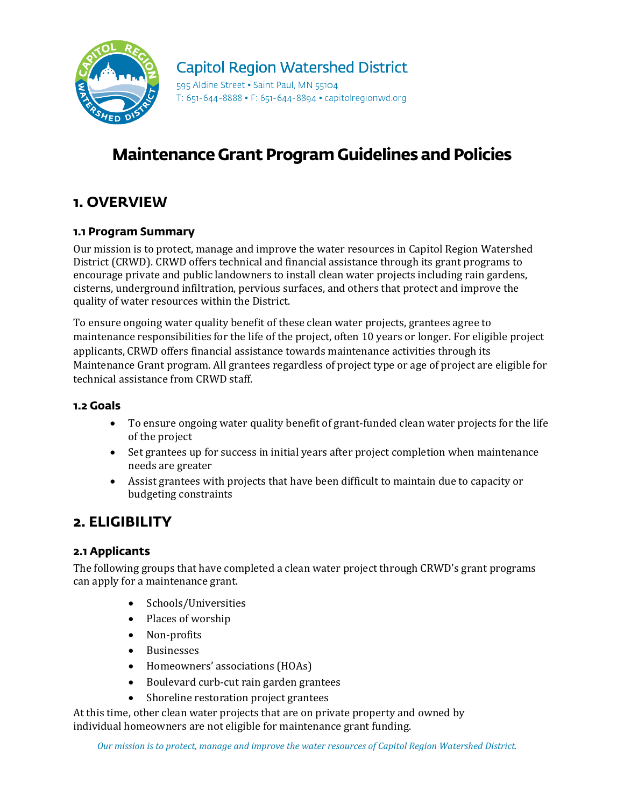

#### **Capitol Region Watershed District**

595 Aldine Street . Saint Paul, MN 55104 T: 651-644-8888 • F: 651-644-8894 • capitolregionwd.org

# **Maintenance Grant Program Guidelines and Policies**

#### **1. OVERVIEW**

#### **1.1 Program Summary**

Our mission is to protect, manage and improve the water resources in Capitol Region Watershed District (CRWD). CRWD offers technical and financial assistance through its grant programs to encourage private and public landowners to install clean water projects including rain gardens, cisterns, underground infiltration, pervious surfaces, and others that protect and improve the quality of water resources within the District.

To ensure ongoing water quality benefit of these clean water projects, grantees agree to maintenance responsibilities for the life of the project, often 10 years or longer. For eligible project applicants, CRWD offers financial assistance towards maintenance activities through its Maintenance Grant program. All grantees regardless of project type or age of project are eligible for technical assistance from CRWD staff.

#### **1.2 Goals**

- To ensure ongoing water quality benefit of grant-funded clean water projects for the life of the project
- Set grantees up for success in initial years after project completion when maintenance needs are greater
- Assist grantees with projects that have been difficult to maintain due to capacity or budgeting constraints

#### **2. ELIGIBILITY**

#### **2.1 Applicants**

The following groups that have completed a clean water project through CRWD's grant programs can apply for a maintenance grant.

- Schools/Universities
- Places of worship
- Non-profits
- Businesses
- Homeowners' associations (HOAs)
- Boulevard curb-cut rain garden grantees
- Shoreline restoration project grantees

At this time, other clean water projects that are on private property and owned by individual homeowners are not eligible for maintenance grant funding.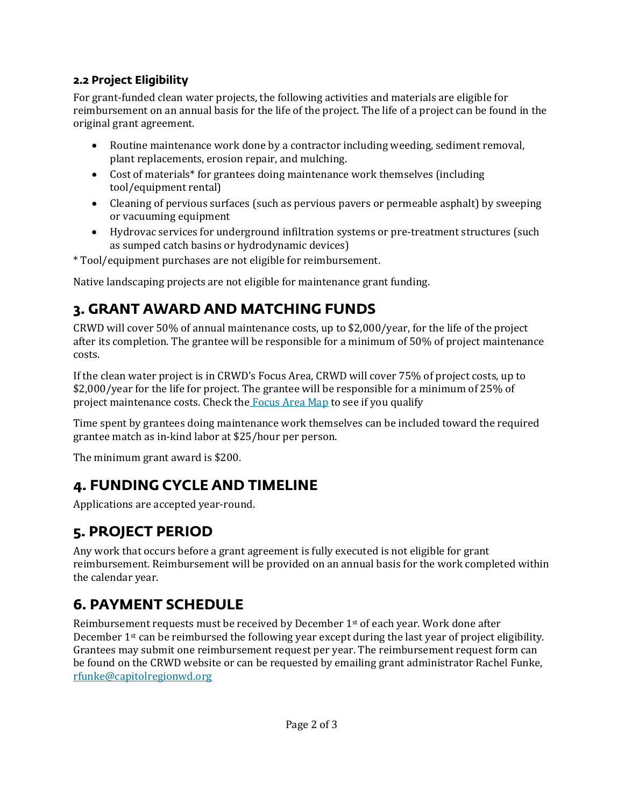#### **2.2 Project Eligibility**

For grant-funded clean water projects, the following activities and materials are eligible for reimbursement on an annual basis for the life of the project. The life of a project can be found in the original grant agreement.

- Routine maintenance work done by a contractor including weeding, sediment removal, plant replacements, erosion repair, and mulching.
- Cost of materials\* for grantees doing maintenance work themselves (including tool/equipment rental)
- Cleaning of pervious surfaces (such as pervious pavers or permeable asphalt) by sweeping or vacuuming equipment
- Hydrovac services for underground infiltration systems or pre-treatment structures (such as sumped catch basins or hydrodynamic devices)

\* Tool/equipment purchases are not eligible for reimbursement.

Native landscaping projects are not eligible for maintenance grant funding.

## **3. GRANT AWARD AND MATCHING FUNDS**

CRWD will cover 50% of annual maintenance costs, up to \$2,000/year, for the life of the project after its completion. The grantee will be responsible for a minimum of 50% of project maintenance costs.

If the clean water project is in CRWD's Focus Area, CRWD will cover 75% of project costs, up to \$2,000/year for the life for project. The grantee will be responsible for a minimum of 25% of project maintenance costs. Check the **[Focus Area Map](https://crwd.maps.arcgis.com/apps/instant/lookup/index.html?appid=87176fca6838447f875c39a76126f9a6)** to see if you qualify

Time spent by grantees doing maintenance work themselves can be included toward the required grantee match as in-kind labor at \$25/hour per person.

The minimum grant award is \$200.

## **4. FUNDING CYCLE AND TIMELINE**

Applications are accepted year-round.

## **5. PROJECT PERIOD**

Any work that occurs before a grant agreement is fully executed is not eligible for grant reimbursement. Reimbursement will be provided on an annual basis for the work completed within the calendar year.

## **6. PAYMENT SCHEDULE**

Reimbursement requests must be received by December  $1<sup>st</sup>$  of each year. Work done after December  $1<sup>st</sup>$  can be reimbursed the following year except during the last year of project eligibility. Grantees may submit one reimbursement request per year. The reimbursement request form can be found on the CRWD website or can be requested by emailing grant administrator Rachel Funke, [rfunke@capitolregionwd.org](mailto:rfunke@capitolregionwd.org)